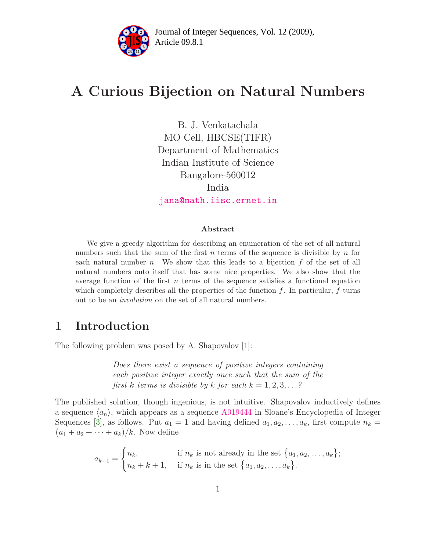

# A Curious Bijection on Natural Numbers

B. J. Venkatachala MO Cell, HBCSE(TIFR) Department of Mathematics Indian Institute of Science Bangalore-560012 India [jana@math.iisc.ernet.in](mailto:jana@math.iisc.ernet.in)

#### Abstract

We give a greedy algorithm for describing an enumeration of the set of all natural numbers such that the sum of the first n terms of the sequence is divisible by n for each natural number n. We show that this leads to a bijection  $f$  of the set of all natural numbers onto itself that has some nice properties. We also show that the average function of the first  $n$  terms of the sequence satisfies a functional equation which completely describes all the properties of the function  $f$ . In particular,  $f$  turns out to be an involution on the set of all natural numbers.

#### 1 Introduction

The following problem was posed by A. Shapovalov [\[1\]](#page-15-0):

Does there exist a sequence of positive integers containing each positive integer exactly once such that the sum of the first k terms is divisible by k for each  $k = 1, 2, 3, \ldots$ ?

The published solution, though ingenious, is not intuitive. Shapovalov inductively defines a sequence  $\langle a_n \rangle$ , which appears as a sequence  $\underline{\text{A}019444}$  in Sloane's Encyclopedia of Integer Sequences [\[3\]](#page-15-1), as follows. Put  $a_1 = 1$  and having defined  $a_1, a_2, \ldots, a_k$ , first compute  $n_k =$  $(a_1 + a_2 + \cdots + a_k)/k$ . Now define

$$
a_{k+1} = \begin{cases} n_k, & \text{if } n_k \text{ is not already in the set } \{a_1, a_2, \dots, a_k\}; \\ n_k + k + 1, & \text{if } n_k \text{ is in the set } \{a_1, a_2, \dots, a_k\}. \end{cases}
$$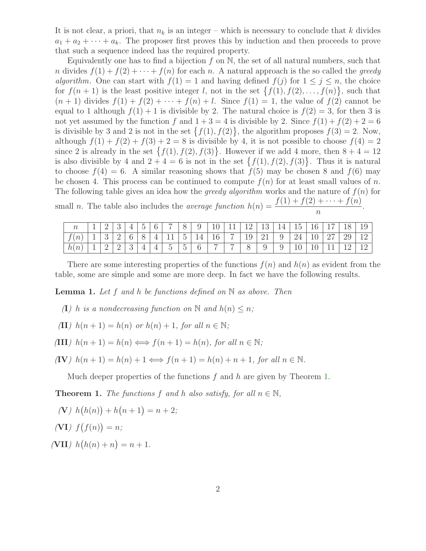It is not clear, a priori, that  $n_k$  is an integer – which is necessary to conclude that k divides  $a_1 + a_2 + \cdots + a_k$ . The proposer first proves this by induction and then proceeds to prove that such a sequence indeed has the required property.

Equivalently one has to find a bijection  $f$  on  $\mathbb N$ , the set of all natural numbers, such that n divides  $f(1) + f(2) + \cdots + f(n)$  for each n. A natural approach is the so called the greedy algorithm. One can start with  $f(1) = 1$  and having defined  $f(j)$  for  $1 \leq j \leq n$ , the choice for  $f(n+1)$  is the least positive integer l, not in the set  $\{f(1), f(2), \ldots, f(n)\}\$ , such that  $(n + 1)$  divides  $f(1) + f(2) + \cdots + f(n) + l$ . Since  $f(1) = 1$ , the value of  $f(2)$  cannot be equal to 1 although  $f(1) + 1$  is divisible by 2. The natural choice is  $f(2) = 3$ , for then 3 is not yet assumed by the function f and  $1+3=4$  is divisible by 2. Since  $f(1)+f(2)+2=6$ is divisible by 3 and 2 is not in the set  $\{f(1), f(2)\}\$ , the algorithm proposes  $f(3) = 2$ . Now, although  $f(1) + f(2) + f(3) + 2 = 8$  is divisible by 4, it is not possible to choose  $f(4) = 2$ since 2 is already in the set  $\{f(1), f(2), f(3)\}\$ . However if we add 4 more, then  $8 + 4 = 12$ is also divisible by 4 and  $2+4=6$  is not in the set  $\{f(1), f(2), f(3)\}\$ . Thus it is natural to choose  $f(4) = 6$ . A similar reasoning shows that  $f(5)$  may be chosen 8 and  $f(6)$  may be chosen 4. This process can be continued to compute  $f(n)$  for at least small values of n. The following table gives an idea how the *greedy algorithm* works and the nature of  $f(n)$  for small n. The table also includes the *average function*  $h(n) = \frac{f(1) + f(2) + \cdots + f(n)}{h(n)}$ n .

|                            | ∸  |   |   | 6 <sup>1</sup> | $\overline{ }$           | $\check{ }$            | 9 <sup>1</sup>  |                | $10 \mid 11 \mid 12 \mid 13 \mid$ |                   |     |    | $14 \mid 15 \mid 16 \mid 17 \mid 18 \mid$ |            |  |
|----------------------------|----|---|---|----------------|--------------------------|------------------------|-----------------|----------------|-----------------------------------|-------------------|-----|----|-------------------------------------------|------------|--|
| $\epsilon$<br>$\,n$        | ್ರ | - |   |                |                          | 5 <sup>5</sup>         | 14 <sup>1</sup> | $16 \mid 7$    |                                   | $19 \mid 21 \mid$ |     | 24 | $\mid$ 10   27                            | 29         |  |
| $n_{\parallel}$<br>$\hbar$ | ∸  | ↵ | ູ |                | $\overline{\phantom{0}}$ | $\tilde{}$<br>h<br>் ப | 6               | $\overline{a}$ | $\overline{ }$                    | $\Omega$          | - 9 | 10 |                                           | $\vert$ 19 |  |

<span id="page-1-1"></span>There are some interesting properties of the functions  $f(n)$  and  $h(n)$  as evident from the table, some are simple and some are more deep. In fact we have the following results.

**Lemma 1.** Let f and h be functions defined on  $\mathbb N$  as above. Then

- (I) h is a nondecreasing function on N and  $h(n) \leq n$ ;
- (II)  $h(n+1) = h(n)$  or  $h(n) + 1$ , for all  $n \in \mathbb{N}$ ;
- (III)  $h(n+1) = h(n) \Longleftrightarrow f(n+1) = h(n)$ , for all  $n \in \mathbb{N}$ ;

(IV) 
$$
h(n+1) = h(n) + 1 \Longleftrightarrow f(n+1) = h(n) + n + 1
$$
, for all  $n \in \mathbb{N}$ .

Much deeper properties of the functions  $f$  and  $h$  are given by Theorem [1.](#page-1-0)

<span id="page-1-0"></span>**Theorem 1.** The functions f and h also satisfy, for all  $n \in \mathbb{N}$ ,

$$
(V) h(h(n)) + h(n+1) = n+2;
$$

$$
(V\mathbf{I})\ f(f(n)) = n;
$$

(VII)  $h(h(n) + n) = n + 1$ .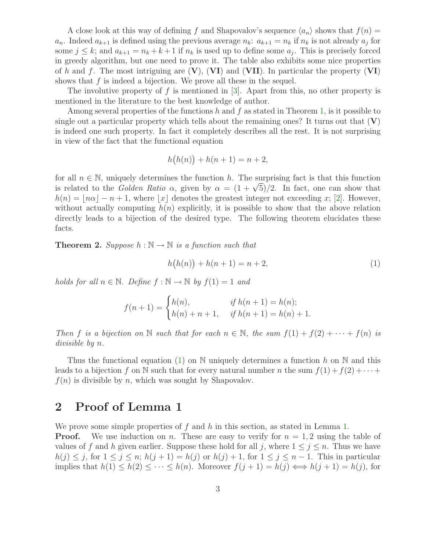A close look at this way of defining f and Shapovalov's sequence  $\langle a_n \rangle$  shows that  $f(n) =$  $a_n$ . Indeed  $a_{k+1}$  is defined using the previous average  $n_k$ :  $a_{k+1} = n_k$  if  $n_k$  is not already  $a_j$  for some  $j \leq k$ ; and  $a_{k+1} = n_k + k + 1$  if  $n_k$  is used up to define some  $a_j$ . This is precisely forced in greedy algorithm, but one need to prove it. The table also exhibits some nice properties of h and f. The most intriguing are  $(V)$ ,  $(VI)$  and  $(VII)$ . In particular the property  $(VI)$ shows that  $f$  is indeed a bijection. We prove all these in the sequel.

The involutive property of  $f$  is mentioned in [\[3\]](#page-15-1). Apart from this, no other property is mentioned in the literature to the best knowledge of author.

Among several properties of the functions  $h$  and  $f$  as stated in Theorem [1,](#page-1-0) is it possible to single out a particular property which tells about the remaining ones? It turns out that  $(V)$ is indeed one such property. In fact it completely describes all the rest. It is not surprising in view of the fact that the functional equation

$$
h(h(n)) + h(n+1) = n+2,
$$

for all  $n \in \mathbb{N}$ , uniquely determines the function h. The surprising fact is that this function is related to the *Golden Ratio*  $\alpha$ , given by  $\alpha = (1 + \sqrt{5})/2$ . In fact, one can show that  $h(n) = |n\alpha| - n + 1$ , where |x| denotes the greatest integer not exceeding x; [\[2\]](#page-15-2). However, without actually computing  $h(n)$  explicitly, it is possible to show that the above relation directly leads to a bijection of the desired type. The following theorem elucidates these facts.

<span id="page-2-1"></span>**Theorem 2.** Suppose  $h : \mathbb{N} \to \mathbb{N}$  is a function such that

<span id="page-2-0"></span>
$$
h(h(n)) + h(n+1) = n+2,
$$
\n(1)

holds for all  $n \in \mathbb{N}$ . Define  $f : \mathbb{N} \to \mathbb{N}$  by  $f(1) = 1$  and

$$
f(n + 1) = \begin{cases} h(n), & \text{if } h(n + 1) = h(n); \\ h(n) + n + 1, & \text{if } h(n + 1) = h(n) + 1. \end{cases}
$$

Then f is a bijection on N such that for each  $n \in \mathbb{N}$ , the sum  $f(1) + f(2) + \cdots + f(n)$  is divisible by n.

Thus the functional equation [\(1\)](#page-2-0) on N uniquely determines a function h on N and this leads to a bijection f on N such that for every natural number n the sum  $f(1) + f(2) + \cdots$  $f(n)$  is divisible by n, which was sought by Shapovalov.

#### 2 Proof of Lemma 1

We prove some simple properties of f and h in this section, as stated in Lemma [1.](#page-1-1)

**Proof.** We use induction on n. These are easy to verify for  $n = 1, 2$  using the table of values of f and h given earlier. Suppose these hold for all j, where  $1 \le j \le n$ . Thus we have  $h(j) \leq j$ , for  $1 \leq j \leq n$ ;  $h(j+1) = h(j)$  or  $h(j) + 1$ , for  $1 \leq j \leq n-1$ . This in particular implies that  $h(1) \leq h(2) \leq \cdots \leq h(n)$ . Moreover  $f(j+1) = h(j) \iff h(j+1) = h(j)$ , for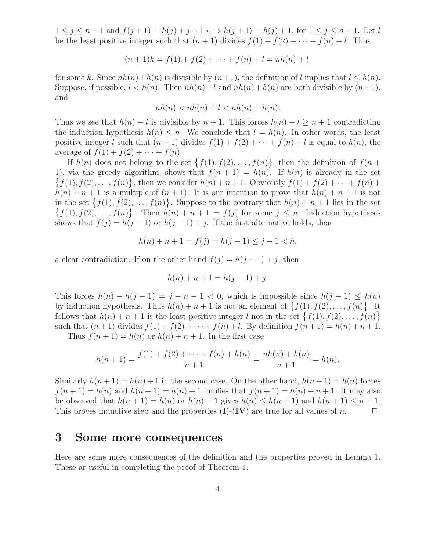$1 \le j \le n-1$  and  $f(j+1) = h(j) + j + 1 \Longleftrightarrow h(j+1) = h(j) + 1$ , for  $1 \le j \le n-1$ . Let l be the least positive integer such that  $(n + 1)$  divides  $f(1) + f(2) + \cdots + f(n) + l$ . Thus

$$
(n+1)k = f(1) + f(2) + \dots + f(n) + l = nh(n) + l,
$$

for some k. Since  $nh(n)+h(n)$  is divisible by  $(n+1)$ , the definition of l implies that  $l \leq h(n)$ . Suppose, if possible,  $l < h(n)$ . Then  $nh(n) + l$  and  $nh(n) + h(n)$  are both divisible by  $(n+1)$ , and

$$
nh(n) < nh(n) + l < nh(n) + h(n).
$$

Thus we see that  $h(n) - l$  is divisible by  $n + 1$ . This forces  $h(n) - l \geq n + 1$  contradicting the induction hypothesis  $h(n) \leq n$ . We conclude that  $l = h(n)$ . In other words, the least positive integer l such that  $(n + 1)$  divides  $f(1) + f(2) + \cdots + f(n) + l$  is equal to  $h(n)$ , the average of  $f(1) + f(2) + \cdots + f(n)$ .

If  $h(n)$  does not belong to the set  $\{f(1), f(2), \ldots, f(n)\}\,$ , then the definition of  $f(n+1)$ 1), via the greedy algorithm, shows that  $f(n + 1) = h(n)$ . If  $h(n)$  is already in the set  $\{f(1), f(2), \ldots, f(n)\},\$  then we consider  $h(n) + n + 1$ . Obviously  $f(1) + f(2) + \cdots + f(n) +$  $h(n) + n + 1$  is a multiple of  $(n + 1)$ . It is our intention to prove that  $h(n) + n + 1$  is not in the set  $\{f(1), f(2), \ldots, f(n)\}\)$ . Suppose to the contrary that  $h(n) + n + 1$  lies in the set  $\{f(1), f(2), \ldots, f(n)\}$ . Then  $h(n) + n + 1 = f(j)$  for some  $j \leq n$ . Induction hypothesis shows that  $f(j) = h(j-1)$  or  $h(j-1) + j$ . If the first alternative holds, then

$$
h(n) + n + 1 = f(j) = h(j - 1) \le j - 1 < n,
$$

a clear contradiction. If on the other hand  $f(j) = h(j-1) + j$ , then

$$
h(n) + n + 1 = h(j - 1) + j.
$$

This forces  $h(n) - h(j-1) = j - n - 1 < 0$ , which is impossible since  $h(j-1) \leq h(n)$ by induction hypothesis. Thus  $h(n) + n + 1$  is not an element of  $\{f(1), f(2), \ldots, f(n)\}\$ . It follows that  $h(n) + n + 1$  is the least positive integer l not in the set  $\{f(1), f(2), \ldots, f(n)\}\$ such that  $(n + 1)$  divides  $f(1) + f(2) + \cdots + f(n) + l$ . By definition  $f(n + 1) = h(n) + n + 1$ .

Thus  $f(n+1) = h(n)$  or  $h(n) + n + 1$ . In the first case

$$
h(n+1) = \frac{f(1) + f(2) + \dots + f(n) + h(n)}{n+1} = \frac{nh(n) + h(n)}{n+1} = h(n).
$$

Similarly  $h(n+1) = h(n) + 1$  in the second case. On the other hand,  $h(n+1) = h(n)$  forces  $f(n+1) = h(n)$  and  $h(n+1) = h(n) + 1$  implies that  $f(n+1) = h(n) + n + 1$ . It may also be observed that  $h(n + 1) = h(n)$  or  $h(n) + 1$  gives  $h(n) \leq h(n + 1)$  and  $h(n + 1) \leq n + 1$ .<br>This proves inductive step and the properties (**I**)-(**IV**) are true for all values of *n*. This proves inductive step and the properties  $(I)$ - $(IV)$  are true for all values of n.

#### 3 Some more consequences

Here are some more consequences of the definition and the properties proved in Lemma [1.](#page-1-1) These ar useful in completing the proof of Theorem [1.](#page-1-0)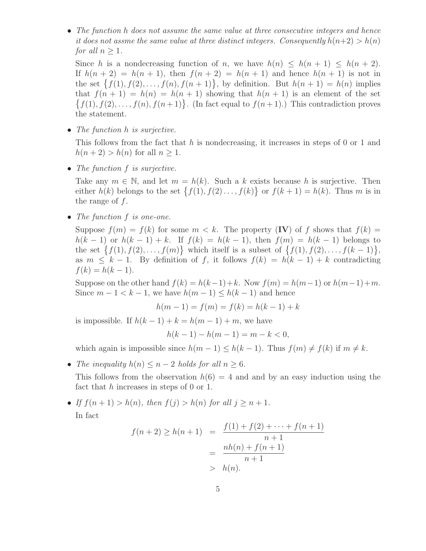• The function h does not assume the same value at three consecutive integers and hence it does not assme the same value at three distinct integers. Consequently  $h(n+2) > h(n)$ for all  $n > 1$ .

Since h is a nondecreasing function of n, we have  $h(n) \leq h(n+1) \leq h(n+2)$ . If  $h(n + 2) = h(n + 1)$ , then  $f(n + 2) = h(n + 1)$  and hence  $h(n + 1)$  is not in the set  $\{f(1), f(2), \ldots, f(n), f(n+1)\}\$ , by definition. But  $h(n+1) = h(n)$  implies that  $f(n + 1) = h(n) = h(n + 1)$  showing that  $h(n + 1)$  is an element of the set  $\{f(1), f(2), \ldots, f(n), f(n+1)\}\.$  (In fact equal to  $f(n+1)$ .) This contradiction proves the statement.

• The function h is surjective.

This follows from the fact that h is nondecreasing, it increases in steps of 0 or 1 and  $h(n+2) > h(n)$  for all  $n > 1$ .

• The function f is surjective.

Take any  $m \in \mathbb{N}$ , and let  $m = h(k)$ . Such a k exists because h is surjective. Then either  $h(k)$  belongs to the set  $\{f(1), f(2), \ldots, f(k)\}\$  or  $f(k+1) = h(k)$ . Thus m is in the range of  $f$ .

• The function f is one-one.

Suppose  $f(m) = f(k)$  for some  $m < k$ . The property (IV) of f shows that  $f(k) =$  $h(k-1)$  or  $h(k-1) + k$ . If  $f(k) = h(k-1)$ , then  $f(m) = h(k-1)$  belongs to the set  $\{f(1), f(2), \ldots, f(m)\}\)$  which itself is a subset of  $\{f(1), f(2), \ldots, f(k-1)\}\$ , as  $m \leq k - 1$ . By definition of f, it follows  $f(k) = h(k - 1) + k$  contradicting  $f(k) = h(k - 1).$ 

Suppose on the other hand  $f(k) = h(k-1) + k$ . Now  $f(m) = h(m-1)$  or  $h(m-1)+m$ . Since  $m-1 < k-1$ , we have  $h(m-1) \leq h(k-1)$  and hence

$$
h(m - 1) = f(m) = f(k) = h(k - 1) + k
$$

is impossible. If  $h(k-1) + k = h(m-1) + m$ , we have

$$
h(k-1) - h(m-1) = m - k < 0,
$$

which again is impossible since  $h(m-1) \leq h(k-1)$ . Thus  $f(m) \neq f(k)$  if  $m \neq k$ .

• The inequality  $h(n) \leq n-2$  holds for all  $n \geq 6$ .

This follows from the observation  $h(6) = 4$  and and by an easy induction using the fact that h increases in steps of 0 or 1.

• If  $f(n+1) > h(n)$ , then  $f(j) > h(n)$  for all  $j \geq n+1$ . In fact

$$
f(n+2) \ge h(n+1) = \frac{f(1) + f(2) + \dots + f(n+1)}{n+1}
$$
  
= 
$$
\frac{nh(n) + f(n+1)}{n+1}
$$
  
> 
$$
h(n).
$$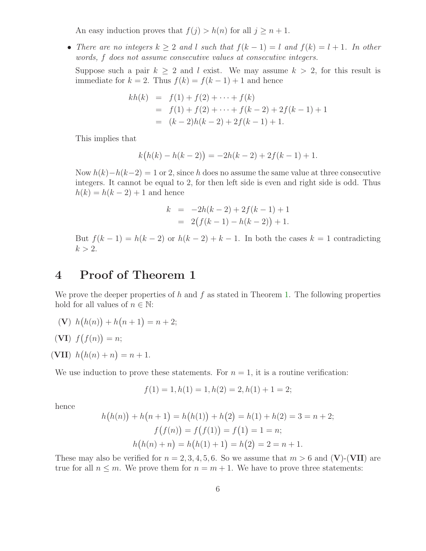An easy induction proves that  $f(j) > h(n)$  for all  $j \geq n+1$ .

• There are no integers  $k \geq 2$  and l such that  $f(k-1) = l$  and  $f(k) = l + 1$ . In other words, f does not assume consecutive values at consecutive integers.

Suppose such a pair  $k > 2$  and l exist. We may assume  $k > 2$ , for this result is immediate for  $k = 2$ . Thus  $f(k) = f(k-1) + 1$  and hence

$$
kh(k) = f(1) + f(2) + \dots + f(k)
$$
  
= f(1) + f(2) + \dots + f(k-2) + 2f(k-1) + 1  
= (k-2)h(k-2) + 2f(k-1) + 1.

This implies that

$$
k(h(k) - h(k-2)) = -2h(k-2) + 2f(k-1) + 1.
$$

Now  $h(k)-h(k-2) = 1$  or 2, since h does no assume the same value at three consecutive integers. It cannot be equal to 2, for then left side is even and right side is odd. Thus  $h(k) = h(k - 2) + 1$  and hence

$$
k = -2h(k-2) + 2f(k-1) + 1
$$
  
= 2(f(k-1) - h(k-2)) + 1.

But  $f(k-1) = h(k-2)$  or  $h(k-2) + k-1$ . In both the cases  $k = 1$  contradicting  $k > 2$ .

### 4 Proof of Theorem 1

We prove the deeper properties of h and f as stated in Theorem [1.](#page-1-0) The following properties hold for all values of  $n \in \mathbb{N}$ :

 $(V)$   $h(h(n)) + h(n+1) = n+2;$ 

$$
(\mathbf{VI})\ f(f(n)) = n;
$$

(VII)  $h(h(n) + n) = n + 1$ .

We use induction to prove these statements. For  $n = 1$ , it is a routine verification:

$$
f(1) = 1, h(1) = 1, h(2) = 2, h(1) + 1 = 2;
$$

hence

$$
h(h(n)) + h(n + 1) = h(h(1)) + h(2) = h(1) + h(2) = 3 = n + 2;
$$
  

$$
f(f(n)) = f(f(1)) = f(1) = 1 = n;
$$
  

$$
h(h(n) + n) = h(h(1) + 1) = h(2) = 2 = n + 1.
$$

These may also be verified for  $n = 2, 3, 4, 5, 6$ . So we assume that  $m > 6$  and (V)-(VII) are true for all  $n \leq m$ . We prove them for  $n = m + 1$ . We have to prove three statements: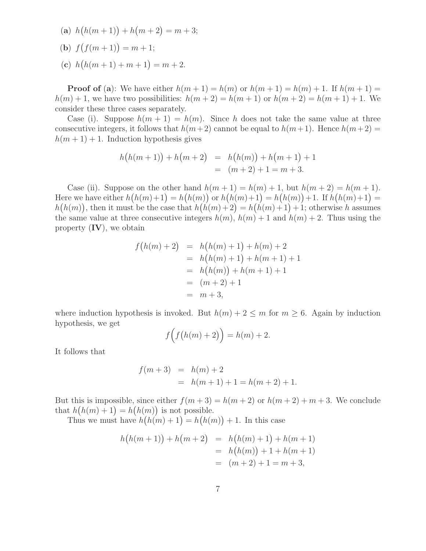(a)  $h(h(m+1)) + h(m+2) = m+3;$ (**b**)  $f(f(m+1)) = m+1;$ (c)  $h(h(m+1)+m+1) = m+2.$ 

**Proof of** (a): We have either  $h(m+1) = h(m)$  or  $h(m+1) = h(m) + 1$ . If  $h(m+1) =$  $h(m) + 1$ , we have two possibilities:  $h(m + 2) = h(m + 1)$  or  $h(m + 2) = h(m + 1) + 1$ . We consider these three cases separately.

Case (i). Suppose  $h(m + 1) = h(m)$ . Since h does not take the same value at three consecutive integers, it follows that  $h(m+2)$  cannot be equal to  $h(m+1)$ . Hence  $h(m+2)$  =  $h(m+1) + 1$ . Induction hypothesis gives

$$
h(h(m + 1)) + h(m + 2) = h(h(m)) + h(m + 1) + 1
$$
  
=  $(m + 2) + 1 = m + 3.$ 

Case (ii). Suppose on the other hand  $h(m+1) = h(m) + 1$ , but  $h(m+2) = h(m+1)$ . Here we have either  $h(h(m)+1) = h(h(m))$  or  $h(h(m)+1) = h(h(m)) + 1$ . If  $h(h(m)+1) =$  $h(h(m))$ , then it must be the case that  $h(h(m) + 2) = h(h(m) + 1) + 1$ ; otherwise h assumes the same value at three consecutive integers  $h(m)$ ,  $h(m) + 1$  and  $h(m) + 2$ . Thus using the property **, we obtain** 

$$
f(h(m) + 2) = h(h(m) + 1) + h(m) + 2
$$
  
=  $h(h(m) + 1) + h(m + 1) + 1$   
=  $h(h(m)) + h(m + 1) + 1$   
=  $(m + 2) + 1$   
=  $m + 3$ ,

where induction hypothesis is invoked. But  $h(m) + 2 \le m$  for  $m \ge 6$ . Again by induction hypothesis, we get

$$
f\Big(f\big(h(m)+2\big)\Big) = h(m) + 2.
$$

It follows that

$$
f(m+3) = h(m) + 2
$$
  
=  $h(m+1) + 1 = h(m+2) + 1.$ 

But this is impossible, since either  $f(m+3) = h(m+2)$  or  $h(m+2) + m+3$ . We conclude that  $h(h(m) + 1) = h(h(m))$  is not possible.

Thus we must have  $h(h(m) + 1) = h(h(m)) + 1$ . In this case

$$
h(h(m + 1)) + h(m + 2) = h(h(m) + 1) + h(m + 1)
$$
  
=  $h(h(m)) + 1 + h(m + 1)$   
=  $(m + 2) + 1 = m + 3$ ,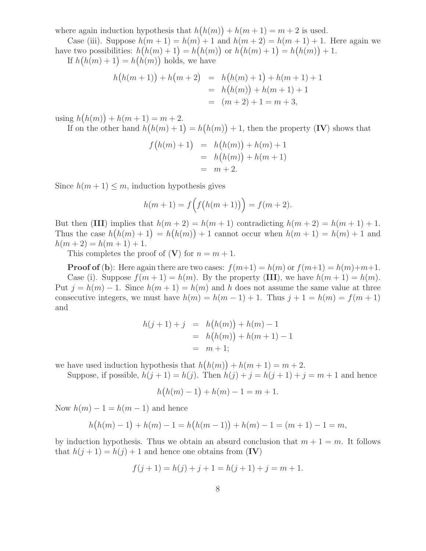where again induction hypothesis that  $h(h(m)) + h(m+1) = m+2$  is used.

Case (iii). Suppose  $h(m + 1) = h(m) + 1$  and  $h(m + 2) = h(m + 1) + 1$ . Here again we have two possibilities:  $h(h(m) + 1) = h(h(m))$  or  $h(h(m) + 1) = h(h(m)) + 1$ .

If  $h(h(m) + 1) = h(h(m))$  holds, we have

$$
h(h(m + 1)) + h(m + 2) = h(h(m) + 1) + h(m + 1) + 1
$$
  
=  $h(h(m)) + h(m + 1) + 1$   
=  $(m + 2) + 1 = m + 3$ ,

using  $h(h(m)) + h(m + 1) = m + 2$ .

If on the other hand  $h(h(m) + 1) = h(h(m)) + 1$ , then the property (IV) shows that

$$
f(h(m) + 1) = h(h(m)) + h(m) + 1
$$
  
=  $h(h(m)) + h(m + 1)$   
=  $m + 2$ .

Since  $h(m + 1) \leq m$ , induction hypothesis gives

$$
h(m + 1) = f(f(h(m + 1))) = f(m + 2).
$$

But then (III) implies that  $h(m+2) = h(m+1)$  contradicting  $h(m+2) = h(m+1) + 1$ . Thus the case  $h(h(m) + 1) = h(h(m)) + 1$  cannot occur when  $h(m + 1) = h(m) + 1$  and  $h(m+2) = h(m+1) + 1.$ 

This completes the proof of  $(V)$  for  $n = m + 1$ .

**Proof of (b)**: Here again there are two cases:  $f(m+1) = h(m)$  or  $f(m+1) = h(m)+m+1$ . Case (i). Suppose  $f(m+1) = h(m)$ . By the property (III), we have  $h(m+1) = h(m)$ . Put  $j = h(m) - 1$ . Since  $h(m + 1) = h(m)$  and h does not assume the same value at three consecutive integers, we must have  $h(m) = h(m-1) + 1$ . Thus  $j + 1 = h(m) = f(m + 1)$ and

$$
h(j + 1) + j = h(h(m)) + h(m) - 1
$$
  
=  $h(h(m)) + h(m + 1) - 1$   
=  $m + 1$ ;

we have used induction hypothesis that  $h(h(m)) + h(m + 1) = m + 2$ .

Suppose, if possible,  $h(j + 1) = h(j)$ . Then  $h(j) + j = h(j + 1) + j = m + 1$  and hence

$$
h(h(m) - 1) + h(m) - 1 = m + 1.
$$

Now  $h(m) - 1 = h(m - 1)$  and hence

$$
h(h(m) - 1) + h(m) - 1 = h(h(m - 1)) + h(m) - 1 = (m + 1) - 1 = m,
$$

by induction hypothesis. Thus we obtain an absurd conclusion that  $m + 1 = m$ . It follows that  $h(j + 1) = h(j) + 1$  and hence one obtains from (IV)

$$
f(j + 1) = h(j) + j + 1 = h(j + 1) + j = m + 1.
$$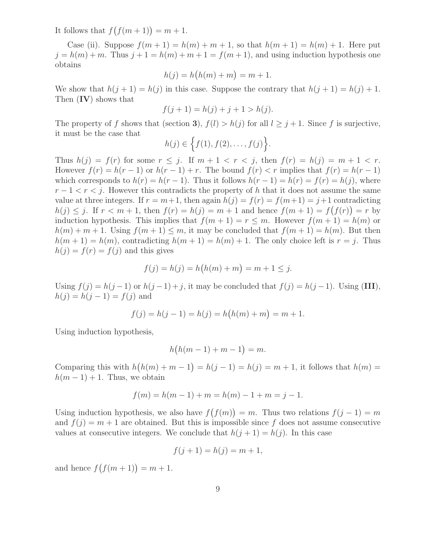It follows that  $f(f(m+1)) = m + 1$ .

Case (ii). Suppose  $f(m + 1) = h(m) + m + 1$ , so that  $h(m + 1) = h(m) + 1$ . Here put  $j = h(m) + m$ . Thus  $j + 1 = h(m) + m + 1 = f(m + 1)$ , and using induction hypothesis one obtains

$$
h(j) = h\big(h(m) + m\big) = m + 1.
$$

We show that  $h(j + 1) = h(j)$  in this case. Suppose the contrary that  $h(j + 1) = h(j) + 1$ . Then  $(IV)$  shows that

$$
f(j + 1) = h(j) + j + 1 > h(j).
$$

The property of f shows that (section 3),  $f(l) > h(j)$  for all  $l \geq j+1$ . Since f is surjective, it must be the case that

$$
h(j) \in \Big\{ f(1), f(2), \ldots, f(j) \Big\}.
$$

Thus  $h(j) = f(r)$  for some  $r \leq j$ . If  $m + 1 < r < j$ , then  $f(r) = h(j) = m + 1 < r$ . However  $f(r) = h(r - 1)$  or  $h(r - 1) + r$ . The bound  $f(r) < r$  implies that  $f(r) = h(r - 1)$ which corresponds to  $h(r) = h(r-1)$ . Thus it follows  $h(r-1) = h(r) = f(r) = h(j)$ , where  $r-1 < r < j$ . However this contradicts the property of h that it does not assume the same value at three integers. If  $r = m+1$ , then again  $h(j) = f(r) = f(m+1) = j+1$  contradicting  $h(j) \leq j$ . If  $r < m+1$ , then  $f(r) = h(j) = m+1$  and hence  $f(m+1) = f(f(r)) = r$  by induction hypothesis. This implies that  $f(m + 1) = r \leq m$ . However  $f(m + 1) = h(m)$  or  $h(m) + m + 1$ . Using  $f(m + 1) \leq m$ , it may be concluded that  $f(m + 1) = h(m)$ . But then  $h(m+1) = h(m)$ , contradicting  $h(m+1) = h(m) + 1$ . The only choice left is  $r = j$ . Thus  $h(j) = f(r) = f(j)$  and this gives

$$
f(j) = h(j) = h(h(m) + m) = m + 1 \le j.
$$

Using  $f(j) = h(j-1)$  or  $h(j-1) + j$ , it may be concluded that  $f(j) = h(j-1)$ . Using (III),  $h(j) = h(j - 1) = f(j)$  and

$$
f(j) = h(j - 1) = h(j) = h(h(m) + m) = m + 1.
$$

Using induction hypothesis,

$$
h\big(h(m-1)+m-1\big)=m.
$$

Comparing this with  $h(h(m) + m - 1) = h(j - 1) = h(j) = m + 1$ , it follows that  $h(m) =$  $h(m-1)+1$ . Thus, we obtain

$$
f(m) = h(m - 1) + m = h(m) - 1 + m = j - 1.
$$

Using induction hypothesis, we also have  $f(f(m)) = m$ . Thus two relations  $f(j-1) = m$ and  $f(j) = m + 1$  are obtained. But this is impossible since f does not assume consecutive values at consecutive integers. We conclude that  $h(j + 1) = h(j)$ . In this case

$$
f(j + 1) = h(j) = m + 1,
$$

and hence  $f(f(m + 1)) = m + 1$ .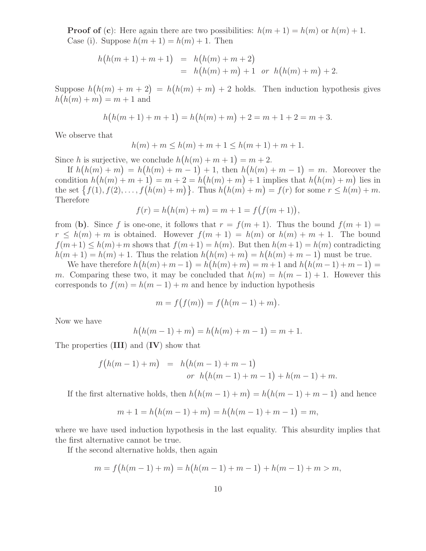**Proof of (c):** Here again there are two possibilities:  $h(m + 1) = h(m)$  or  $h(m) + 1$ . Case (i). Suppose  $h(m+1) = h(m) + 1$ . Then

$$
h(h(m + 1) + m + 1) = h(h(m) + m + 2)
$$
  
=  $h(h(m) + m) + 1$  or  $h(h(m) + m) + 2$ .

Suppose  $h(h(m) + m + 2) = h(h(m) + m) + 2$  holds. Then induction hypothesis gives  $h(h(m) + m) = m + 1$  and

$$
h(h(m + 1) + m + 1) = h(h(m) + m) + 2 = m + 1 + 2 = m + 3.
$$

We observe that

$$
h(m) + m \le h(m) + m + 1 \le h(m + 1) + m + 1.
$$

Since h is surjective, we conclude  $h(h(m) + m + 1) = m + 2$ .

If  $h(h(m) + m) = h(h(m) + m - 1) + 1$ , then  $h(h(m) + m - 1) = m$ . Moreover the condition  $h(h(m) + m + 1) = m + 2 = h(h(m) + m) + 1$  implies that  $h(h(m) + m)$  lies in the set  $\{f(1), f(2), \ldots, f(h(m) + m)\}$ . Thus  $h(h(m) + m) = f(r)$  for some  $r \leq h(m) + m$ . Therefore

$$
f(r) = h(h(m) + m) = m + 1 = f(f(m + 1)),
$$

from (b). Since f is one-one, it follows that  $r = f(m + 1)$ . Thus the bound  $f(m + 1) =$  $r \leq h(m) + m$  is obtained. However  $f(m + 1) = h(m)$  or  $h(m) + m + 1$ . The bound  $f(m+1) \leq h(m)+m$  shows that  $f(m+1) = h(m)$ . But then  $h(m+1) = h(m)$  contradicting  $h(m+1) = h(m) + 1$ . Thus the relation  $h(h(m) + m) = h(h(m) + m - 1)$  must be true.

We have therefore  $h(h(m) + m - 1) = h(h(m) + m) = m + 1$  and  $h(h(m - 1) + m - 1) =$ m. Comparing these two, it may be concluded that  $h(m) = h(m-1) + 1$ . However this corresponds to  $f(m) = h(m-1) + m$  and hence by induction hypothesis

$$
m = f(f(m)) = f\big(h(m-1) + m\big).
$$

Now we have

$$
h(h(m-1) + m) = h(h(m) + m - 1) = m + 1.
$$

The properties  $(III)$  and  $(IV)$  show that

$$
f(h(m-1) + m) = h(h(m-1) + m - 1)
$$
  
or  $h(h(m-1) + m - 1) + h(m-1) + m$ .

If the first alternative holds, then  $h(h(m-1) + m) = h(h(m-1) + m - 1)$  and hence

$$
m + 1 = h(h(m - 1) + m) = h(h(m - 1) + m - 1) = m,
$$

where we have used induction hypothesis in the last equality. This absurdity implies that the first alternative cannot be true.

If the second alternative holds, then again

$$
m = f(h(m - 1) + m) = h(h(m - 1) + m - 1) + h(m - 1) + m > m,
$$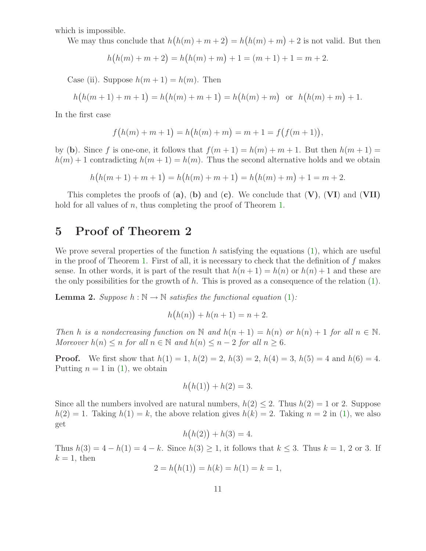which is impossible.

We may thus conclude that  $h(h(m) + m + 2) = h(h(m) + m) + 2$  is not valid. But then

$$
h(h(m) + m + 2) = h(h(m) + m) + 1 = (m + 1) + 1 = m + 2.
$$

Case (ii). Suppose  $h(m+1) = h(m)$ . Then

$$
h(h(m + 1) + m + 1) = h(h(m) + m + 1) = h(h(m) + m) \text{ or } h(h(m) + m) + 1.
$$

In the first case

$$
f(h(m) + m + 1) = h(h(m) + m) = m + 1 = f(f(m + 1)),
$$

by (b). Since f is one-one, it follows that  $f(m+1) = h(m) + m + 1$ . But then  $h(m+1) =$  $h(m) + 1$  contradicting  $h(m + 1) = h(m)$ . Thus the second alternative holds and we obtain

 $h(h(m+1)+m+1) = h(h(m)+m+1) = h(h(m)+m) + 1 = m+2.$ 

This completes the proofs of  $(a)$ ,  $(b)$  and  $(c)$ . We conclude that  $(V)$ ,  $(VI)$  and  $(VII)$ hold for all values of n, thus completing the proof of Theorem [1.](#page-1-0)

### 5 Proof of Theorem 2

We prove several properties of the function h satisfying the equations  $(1)$ , which are useful in the proof of Theorem [1.](#page-1-0) First of all, it is necessary to check that the definition of  $f$  makes sense. In other words, it is part of the result that  $h(n+1) = h(n)$  or  $h(n) + 1$  and these are the only possibilities for the growth of h. This is proved as a consequence of the relation  $(1)$ .

**Lemma 2.** Suppose  $h : \mathbb{N} \to \mathbb{N}$  satisfies the functional equation [\(1\)](#page-2-0):

$$
h(h(n)) + h(n+1) = n + 2.
$$

Then h is a nondecreasing function on N and  $h(n + 1) = h(n)$  or  $h(n) + 1$  for all  $n \in \mathbb{N}$ . Moreover  $h(n) \leq n$  for all  $n \in \mathbb{N}$  and  $h(n) \leq n-2$  for all  $n \geq 6$ .

**Proof.** We first show that  $h(1) = 1$ ,  $h(2) = 2$ ,  $h(3) = 2$ ,  $h(4) = 3$ ,  $h(5) = 4$  and  $h(6) = 4$ . Putting  $n = 1$  in [\(1\)](#page-2-0), we obtain

$$
h(h(1)) + h(2) = 3.
$$

Since all the numbers involved are natural numbers,  $h(2) \leq 2$ . Thus  $h(2) = 1$  or 2. Suppose  $h(2) = 1$ . Taking  $h(1) = k$ , the above relation gives  $h(k) = 2$ . Taking  $n = 2$  in [\(1\)](#page-2-0), we also get

$$
h(h(2)) + h(3) = 4.
$$

Thus  $h(3) = 4 - h(1) = 4 - k$ . Since  $h(3) \ge 1$ , it follows that  $k \le 3$ . Thus  $k = 1, 2$  or 3. If  $k = 1$ , then

$$
2 = h(h(1)) = h(k) = h(1) = k = 1,
$$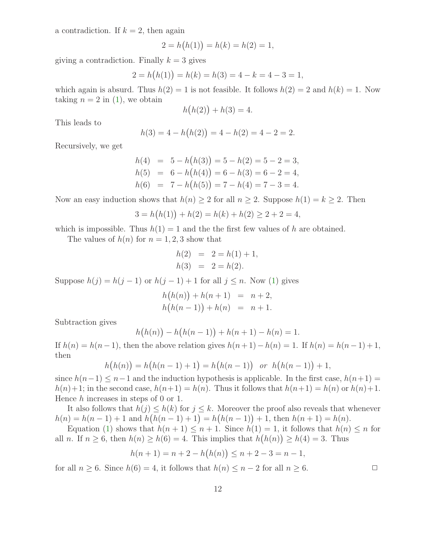a contradiction. If  $k = 2$ , then again

$$
2 = h(h(1)) = h(k) = h(2) = 1,
$$

giving a contradiction. Finally  $k = 3$  gives

$$
2 = h(h(1)) = h(k) = h(3) = 4 - k = 4 - 3 = 1,
$$

which again is absurd. Thus  $h(2) = 1$  is not feasible. It follows  $h(2) = 2$  and  $h(k) = 1$ . Now taking  $n = 2$  in [\(1\)](#page-2-0), we obtain

$$
h(h(2)) + h(3) = 4.
$$

This leads to

$$
h(3) = 4 - h(h(2)) = 4 - h(2) = 4 - 2 = 2.
$$

Recursively, we get

$$
h(4) = 5 - h(h(3)) = 5 - h(2) = 5 - 2 = 3,
$$
  
\n
$$
h(5) = 6 - h(h(4)) = 6 - h(3) = 6 - 2 = 4,
$$
  
\n
$$
h(6) = 7 - h(h(5)) = 7 - h(4) = 7 - 3 = 4.
$$

Now an easy induction shows that  $h(n) \geq 2$  for all  $n \geq 2$ . Suppose  $h(1) = k \geq 2$ . Then

$$
3 = h(h(1)) + h(2) = h(k) + h(2) \ge 2 + 2 = 4,
$$

which is impossible. Thus  $h(1) = 1$  and the first few values of h are obtained.

The values of  $h(n)$  for  $n = 1, 2, 3$  show that

$$
h(2) = 2 = h(1) + 1,
$$
  
\n
$$
h(3) = 2 = h(2).
$$

Suppose  $h(j) = h(j-1)$  or  $h(j-1) + 1$  for all  $j \leq n$ . Now [\(1\)](#page-2-0) gives

$$
h(h(n)) + h(n + 1) = n + 2,
$$
  
\n
$$
h(h(n - 1)) + h(n) = n + 1.
$$

Subtraction gives

$$
h(h(n)) - h(h(n-1)) + h(n+1) - h(n) = 1.
$$

If  $h(n) = h(n-1)$ , then the above relation gives  $h(n+1) - h(n) = 1$ . If  $h(n) = h(n-1) + 1$ , then

$$
h(h(n)) = h(h(n-1) + 1) = h(h(n-1)) \text{ or } h(h(n-1)) + 1,
$$

since  $h(n-1) \leq n-1$  and the induction hypothesis is applicable. In the first case,  $h(n+1) =$  $h(n+1;$  in the second case,  $h(n+1) = h(n)$ . Thus it follows that  $h(n+1) = h(n)$  or  $h(n)+1$ . Hence  $h$  increases in steps of 0 or 1.

It also follows that  $h(j) \leq h(k)$  for  $j \leq k$ . Moreover the proof also reveals that whenever  $h(n) = h(n-1) + 1$  and  $h(h(n-1) + 1) = h(h(n-1)) + 1$ , then  $h(n+1) = h(n)$ .

Equation [\(1\)](#page-2-0) shows that  $h(n + 1) \leq n + 1$ . Since  $h(1) = 1$ , it follows that  $h(n) \leq n$  for all *n*. If  $n \ge 6$ , then  $h(n) \ge h(6) = 4$ . This implies that  $h(h(n)) \ge h(4) = 3$ . Thus

$$
h(n + 1) = n + 2 - h(h(n)) \le n + 2 - 3 = n - 1,
$$

<span id="page-11-0"></span>for all  $n \geq 6$ . Since  $h(6) = 4$ , it follows that  $h(n) \leq n-2$  for all  $n \geq 6$ .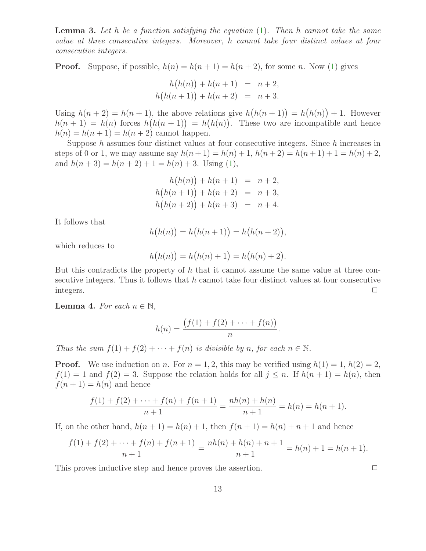**Lemma 3.** Let  $h$  be a function satisfying the equation  $(1)$ . Then  $h$  cannot take the same value at three consecutive integers. Moreover, h cannot take four distinct values at four consecutive integers.

**Proof.** Suppose, if possible,  $h(n) = h(n + 1) = h(n + 2)$ , for some n. Now [\(1\)](#page-2-0) gives

$$
h(h(n)) + h(n + 1) = n + 2,
$$
  

$$
h(h(n + 1)) + h(n + 2) = n + 3.
$$

Using  $h(n+2) = h(n+1)$ , the above relations give  $h(h(n+1)) = h(h(n)) + 1$ . However  $h(n+1) = h(n)$  forces  $h(h(n+1)) = h(h(n))$ . These two are incompatible and hence  $h(n) = h(n+1) = h(n+2)$  cannot happen.

Suppose  $h$  assumes four distinct values at four consecutive integers. Since  $h$  increases in steps of 0 or 1, we may assume say  $h(n+1) = h(n) + 1$ ,  $h(n+2) = h(n+1) + 1 = h(n) + 2$ , and  $h(n+3) = h(n+2) + 1 = h(n) + 3$ . Using [\(1\)](#page-2-0),

$$
h(h(n)) + h(n + 1) = n + 2,
$$
  
\n
$$
h(h(n + 1)) + h(n + 2) = n + 3,
$$
  
\n
$$
h(h(n + 2)) + h(n + 3) = n + 4.
$$

It follows that

$$
h(h(n)) = h(h(n + 1)) = h(h(n + 2)),
$$

which reduces to

$$
h(h(n)) = h(h(n) + 1) = h(h(n) + 2).
$$

But this contradicts the property of h that it cannot assume the same value at three consecutive integers. Thus it follows that  $h$  cannot take four distinct values at four consecutive  $\Box$ integers.  $\Box$ 

<span id="page-12-1"></span>**Lemma 4.** For each  $n \in \mathbb{N}$ ,

$$
h(n) = \frac{(f(1) + f(2) + \dots + f(n))}{n}.
$$

Thus the sum  $f(1) + f(2) + \cdots + f(n)$  is divisible by n, for each  $n \in \mathbb{N}$ .

**Proof.** We use induction on n. For  $n = 1, 2$ , this may be verified using  $h(1) = 1$ ,  $h(2) = 2$ ,  $f(1) = 1$  and  $f(2) = 3$ . Suppose the relation holds for all  $j \leq n$ . If  $h(n+1) = h(n)$ , then  $f(n+1) = h(n)$  and hence

$$
\frac{f(1) + f(2) + \dots + f(n) + f(n+1)}{n+1} = \frac{nh(n) + h(n)}{n+1} = h(n) = h(n+1).
$$

If, on the other hand,  $h(n + 1) = h(n) + 1$ , then  $f(n + 1) = h(n) + n + 1$  and hence

$$
\frac{f(1) + f(2) + \dots + f(n) + f(n+1)}{n+1} = \frac{nh(n) + h(n) + n + 1}{n+1} = h(n) + 1 = h(n+1).
$$

<span id="page-12-0"></span>This proves inductive step and hence proves the assertion.  $\Box$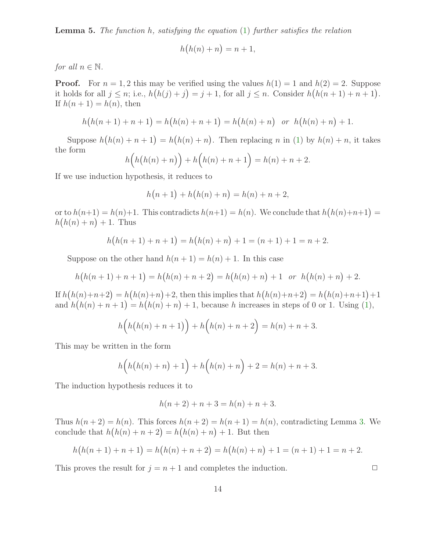**Lemma 5.** The function  $h$ , satisfying the equation  $(1)$  further satisfies the relation

$$
h(h(n) + n) = n + 1,
$$

for all  $n \in \mathbb{N}$ .

**Proof.** For  $n = 1, 2$  this may be verified using the values  $h(1) = 1$  and  $h(2) = 2$ . Suppose it holds for all  $j \leq n$ ; i.e.,  $h(h(j) + j) = j + 1$ , for all  $j \leq n$ . Consider  $h(h(n + 1) + n + 1)$ . If  $h(n + 1) = h(n)$ , then

$$
h(h(n + 1) + n + 1) = h(h(n) + n + 1) = h(h(n) + n) \text{ or } h(h(n) + n) + 1.
$$

Suppose  $h(h(n) + n + 1) = h(h(n) + n)$ . Then replacing n in [\(1\)](#page-2-0) by  $h(n) + n$ , it takes the form

$$
h\Big(h\big(h(n)+n\big)\Big)+h\Big(h(n)+n+1\Big)=h(n)+n+2.
$$

If we use induction hypothesis, it reduces to

$$
h(n + 1) + h(h(n) + n) = h(n) + n + 2,
$$

or to  $h(n+1) = h(n)+1$ . This contradicts  $h(n+1) = h(n)$ . We conclude that  $h(h(n)+n+1) =$  $h(h(n) + n) + 1$ . Thus

$$
h(h(n + 1) + n + 1) = h(h(n) + n) + 1 = (n + 1) + 1 = n + 2.
$$

Suppose on the other hand  $h(n + 1) = h(n) + 1$ . In this case

$$
h(h(n + 1) + n + 1) = h(h(n) + n + 2) = h(h(n) + n) + 1
$$
 or  $h(h(n) + n) + 2$ .

If  $h(h(n)+n+2) = h(h(n)+n)+2$ , then this implies that  $h(h(n)+n+2) = h(h(n)+n+1)+1$ and  $h(h(n) + n + 1) = h(h(n) + n) + 1$ , because h increases in steps of 0 or 1. Using [\(1\)](#page-2-0),

$$
h(h(h(n) + n + 1)) + h(h(n) + n + 2) = h(n) + n + 3.
$$

This may be written in the form

$$
h(h(h(n) + n) + 1) + h(h(n) + n) + 2 = h(n) + n + 3.
$$

The induction hypothesis reduces it to

$$
h(n + 2) + n + 3 = h(n) + n + 3.
$$

Thus  $h(n+2) = h(n)$ . This forces  $h(n+2) = h(n+1) = h(n)$ , contradicting Lemma [3.](#page-11-0) We conclude that  $h(h(n) + n + 2) = h(h(n) + n) + 1$ . But then

$$
h(h(n + 1) + n + 1) = h(h(n) + n + 2) = h(h(n) + n) + 1 = (n + 1) + 1 = n + 2.
$$

This proves the result for  $j = n + 1$  and completes the induction.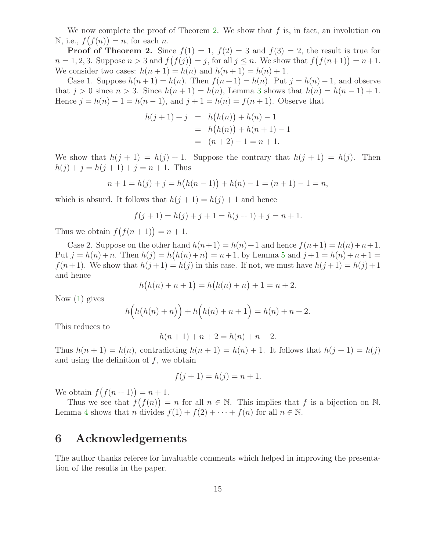We now complete the proof of Theorem [2.](#page-2-1) We show that  $f$  is, in fact, an involution on  $N$ , i.e.,  $f(f(n)) = n$ , for each n.

**Proof of Theorem 2.** Since  $f(1) = 1$ ,  $f(2) = 3$  and  $f(3) = 2$ , the result is true for  $n = 1, 2, 3$ . Suppose  $n > 3$  and  $f(f(j)) = j$ , for all  $j \leq n$ . We show that  $f(f(n+1)) = n+1$ . We consider two cases:  $h(n+1) = h(n)$  and  $h(n+1) = h(n) + 1$ .

Case 1. Suppose  $h(n+1) = h(n)$ . Then  $f(n+1) = h(n)$ . Put  $j = h(n) - 1$ , and observe that  $j > 0$  since  $n > 3$  $n > 3$ . Since  $h(n+1) = h(n)$ , Lemma 3 shows that  $h(n) = h(n-1) + 1$ . Hence  $j = h(n) - 1 = h(n - 1)$ , and  $j + 1 = h(n) = f(n + 1)$ . Observe that

$$
h(j+1) + j = h(h(n)) + h(n) - 1
$$
  
=  $h(h(n)) + h(n+1) - 1$   
=  $(n+2) - 1 = n + 1$ .

We show that  $h(j + 1) = h(j) + 1$ . Suppose the contrary that  $h(j + 1) = h(j)$ . Then  $h(j) + j = h(j + 1) + j = n + 1$ . Thus

$$
n + 1 = h(j) + j = h(h(n - 1)) + h(n) - 1 = (n + 1) - 1 = n,
$$

which is absurd. It follows that  $h(j + 1) = h(j) + 1$  and hence

$$
f(j + 1) = h(j) + j + 1 = h(j + 1) + j = n + 1.
$$

Thus we obtain  $f(f(n+1)) = n+1$ .

Case 2. Suppose on the other hand  $h(n+1) = h(n)+1$  and hence  $f(n+1) = h(n)+n+1$ . Put  $j = h(n) + n$ . Then  $h(j) = h(h(n) + n) = n + 1$ , by Lemma [5](#page-12-0) and  $j + 1 = h(n) + n + 1 =$  $f(n+1)$ . We show that  $h(j+1) = h(j)$  in this case. If not, we must have  $h(j+1) = h(j) + 1$ and hence

$$
h(h(n) + n + 1) = h(h(n) + n) + 1 = n + 2.
$$

Now [\(1\)](#page-2-0) gives

$$
h\Big(h\big(h(n)+n\big)\Big)+h\Big(h(n)+n+1\Big)=h(n)+n+2.
$$

This reduces to

$$
h(n + 1) + n + 2 = h(n) + n + 2.
$$

Thus  $h(n + 1) = h(n)$ , contradicting  $h(n + 1) = h(n) + 1$ . It follows that  $h(j + 1) = h(j)$ and using the definition of  $f$ , we obtain

$$
f(j + 1) = h(j) = n + 1.
$$

We obtain  $f(f(n+1)) = n+1$ .

Thus we see that  $f(f(n)) = n$  for all  $n \in \mathbb{N}$ . This implies that f is a bijection on N. Lemma [4](#page-12-1) shows that n divides  $f(1) + f(2) + \cdots + f(n)$  for all  $n \in \mathbb{N}$ .

#### 6 Acknowledgements

The author thanks referee for invaluable comments which helped in improving the presentation of the results in the paper.